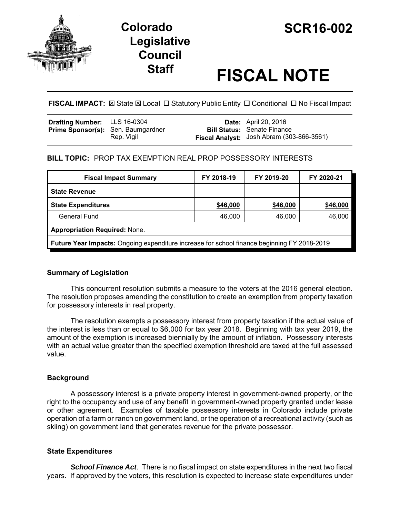

# **Legislative Council**

# **Staff FISCAL NOTE**

**FISCAL IMPACT:**  $\boxtimes$  State  $\boxtimes$  Local  $\Box$  Statutory Public Entity  $\Box$  Conditional  $\Box$  No Fiscal Impact

## **BILL TOPIC:** PROP TAX EXEMPTION REAL PROP POSSESSORY INTERESTS

| <b>Fiscal Impact Summary</b>                                                                       | FY 2018-19 | FY 2019-20 | FY 2020-21 |  |
|----------------------------------------------------------------------------------------------------|------------|------------|------------|--|
| <b>State Revenue</b>                                                                               |            |            |            |  |
| <b>State Expenditures</b>                                                                          | \$46,000   | \$46,000   | \$46,000   |  |
| General Fund                                                                                       | 46,000     | 46,000     | 46,000     |  |
| <b>Appropriation Required: None.</b>                                                               |            |            |            |  |
| <b>Future Year Impacts:</b> Ongoing expenditure increase for school finance beginning FY 2018-2019 |            |            |            |  |

### **Summary of Legislation**

This concurrent resolution submits a measure to the voters at the 2016 general election. The resolution proposes amending the constitution to create an exemption from property taxation for possessory interests in real property.

The resolution exempts a possessory interest from property taxation if the actual value of the interest is less than or equal to \$6,000 for tax year 2018. Beginning with tax year 2019, the amount of the exemption is increased biennially by the amount of inflation. Possessory interests with an actual value greater than the specified exemption threshold are taxed at the full assessed value.

### **Background**

A possessory interest is a private property interest in government-owned property, or the right to the occupancy and use of any benefit in government-owned property granted under lease or other agreement. Examples of taxable possessory interests in Colorado include private operation of a farm or ranch on government land, or the operation of a recreational activity (such as skiing) on government land that generates revenue for the private possessor.

### **State Expenditures**

*School Finance Act*. There is no fiscal impact on state expenditures in the next two fiscal years. If approved by the voters, this resolution is expected to increase state expenditures under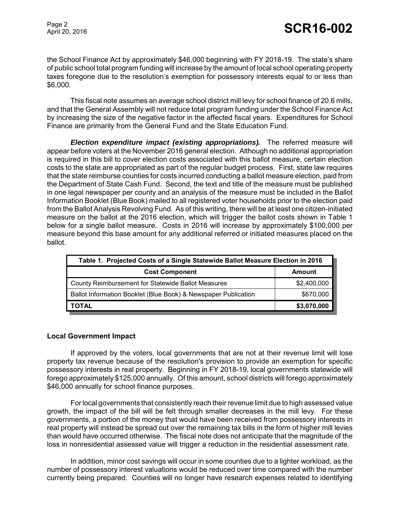the School Finance Act by approximately \$46,000 beginning with FY 2018-19. The state's share of public school total program funding will increase by the amount of local school operating property taxes foregone due to the resolution's exemption for possessory interests equal to or less than \$6,000.

This fiscal note assumes an average school district mill levy for school finance of 20.6 mills, and that the General Assembly will not reduce total program funding under the School Finance Act by increasing the size of the negative factor in the affected fiscal years. Expenditures for School Finance are primarily from the General Fund and the State Education Fund.

*Election expenditure impact (existing appropriations).* The referred measure will appear before voters at the November 2016 general election. Although no additional appropriation is required in this bill to cover election costs associated with this ballot measure, certain election costs to the state are appropriated as part of the regular budget process. First, state law requires that the state reimburse counties for costs incurred conducting a ballot measure election, paid from the Department of State Cash Fund. Second, the text and title of the measure must be published in one legal newspaper per county and an analysis of the measure must be included in the Ballot Information Booklet (Blue Book) mailed to all registered voter households prior to the election paid from the Ballot Analysis Revolving Fund. As of this writing, there will be at least one citizen-initiated measure on the ballot at the 2016 election, which will trigger the ballot costs shown in Table 1 below for a single ballot measure. Costs in 2016 will increase by approximately \$100,000 per measure beyond this base amount for any additional referred or initiated measures placed on the ballot.

| Table 1. Projected Costs of a Single Statewide Ballot Measure Election in 2016 |             |  |  |
|--------------------------------------------------------------------------------|-------------|--|--|
| <b>Cost Component</b>                                                          | Amount      |  |  |
| County Reimbursement for Statewide Ballot Measures                             | \$2,400,000 |  |  |
| Ballot Information Booklet (Blue Book) & Newspaper Publication                 | \$670,000   |  |  |
| ΤΟΤΑL                                                                          | \$3,070,000 |  |  |

#### **Local Government Impact**

If approved by the voters, local governments that are not at their revenue limit will lose property tax revenue because of the resolution's provision to provide an exemption for specific possessory interests in real property. Beginning in FY 2018-19, local governments statewide will forego approximately \$125,000 annually. Of this amount, school districts will forego approximately \$46,000 annually for school finance purposes.

For local governments that consistently reach their revenue limit due to high assessed value growth, the impact of the bill will be felt through smaller decreases in the mill levy. For these governments, a portion of the money that would have been received from possessory interests in real property will instead be spread out over the remaining tax bills in the form of higher mill levies than would have occurred otherwise. The fiscal note does not anticipate that the magnitude of the loss in nonresidential assessed value will trigger a reduction in the residential assessment rate.

In addition, minor cost savings will occur in some counties due to a lighter workload, as the number of possessory interest valuations would be reduced over time compared with the number currently being prepared. Counties will no longer have research expenses related to identifying